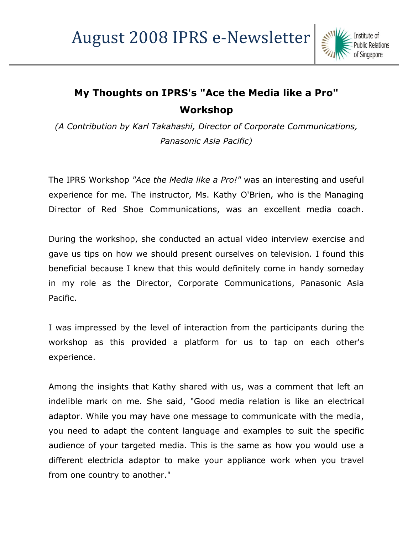

## **My Thoughts on IPRS's "Ace the Media like a Pro" Workshop**

*(A Contribution by Karl Takahashi, Director of Corporate Communications, Panasonic Asia Pacific)*

The IPRS Workshop *"Ace the Media like a Pro!"* was an interesting and useful experience for me. The instructor, Ms. Kathy O'Brien, who is the Managing Director of Red Shoe Communications, was an excellent media coach.

During the workshop, she conducted an actual video interview exercise and gave us tips on how we should present ourselves on television. I found this beneficial because I knew that this would definitely come in handy someday in my role as the Director, Corporate Communications, Panasonic Asia Pacific.

I was impressed by the level of interaction from the participants during the workshop as this provided a platform for us to tap on each other's experience.

Among the insights that Kathy shared with us, was a comment that left an indelible mark on me. She said, "Good media relation is like an electrical adaptor. While you may have one message to communicate with the media, you need to adapt the content language and examples to suit the specific audience of your targeted media. This is the same as how you would use a different electricla adaptor to make your appliance work when you travel from one country to another."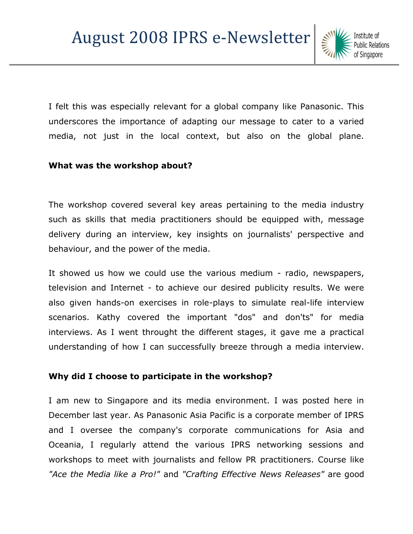I felt this was especially relevant for a global company like Panasonic. This underscores the importance of adapting our message to cater to a varied media, not just in the local context, but also on the global plane.

## **What was the workshop about?**

The workshop covered several key areas pertaining to the media industry such as skills that media practitioners should be equipped with, message delivery during an interview, key insights on journalists' perspective and behaviour, and the power of the media.

It showed us how we could use the various medium - radio, newspapers, television and Internet - to achieve our desired publicity results. We were also given hands-on exercises in role-plays to simulate real-life interview scenarios. Kathy covered the important "dos" and don'ts" for media interviews. As I went throught the different stages, it gave me a practical understanding of how I can successfully breeze through a media interview.

## **Why did I choose to participate in the workshop?**

I am new to Singapore and its media environment. I was posted here in December last year. As Panasonic Asia Pacific is a corporate member of IPRS and I oversee the company's corporate communications for Asia and Oceania, I regularly attend the various IPRS networking sessions and workshops to meet with journalists and fellow PR practitioners. Course like *"Ace the Media like a Pro!"* and *"Crafting Effective News Releases"* are good